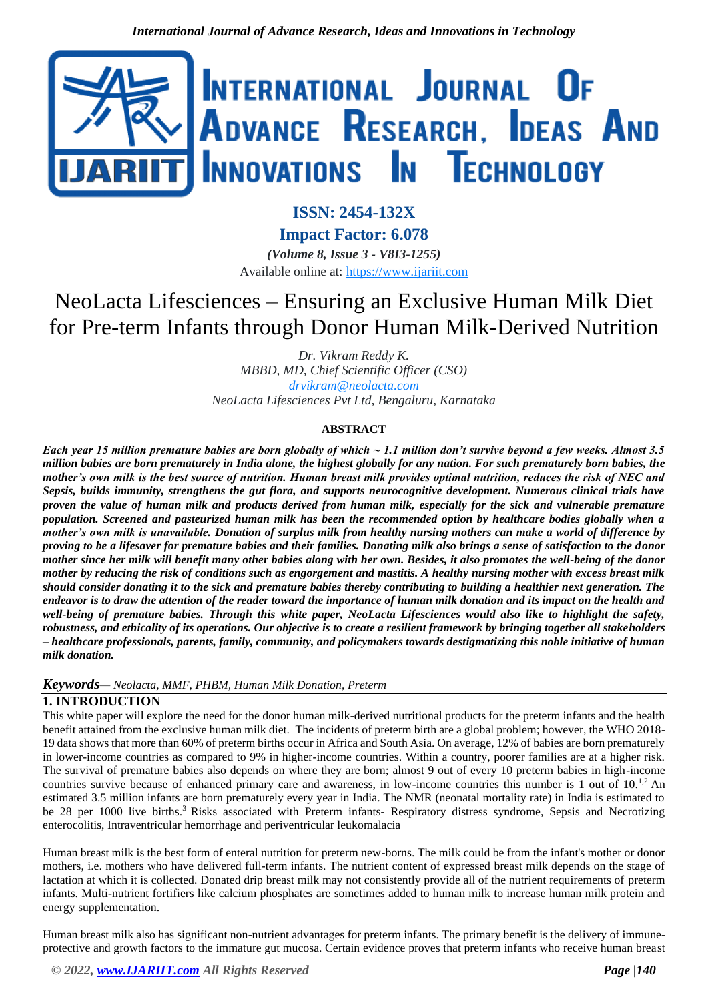

**ISSN: 2454-132X**

**Impact Factor: 6.078** *(Volume 8, Issue 3 - V8I3-1255)* Available online at: [https://www.ijariit.com](https://www.ijariit.com/?utm_source=pdf&utm_medium=edition&utm_campaign=OmAkSols&utm_term=V8I3-1255)

# NeoLacta Lifesciences – Ensuring an Exclusive Human Milk Diet for Pre-term Infants through Donor Human Milk-Derived Nutrition

*Dr. Vikram Reddy K. MBBD, MD, Chief Scientific Officer (CSO) [drvikram@neolacta.com](mailto:drvikram@neolacta.com) NeoLacta Lifesciences Pvt Ltd, Bengaluru, Karnataka*

## **ABSTRACT**

*Each year 15 million premature babies are born globally of which ~ 1.1 million don't survive beyond a few weeks. Almost 3.5 million babies are born prematurely in India alone, the highest globally for any nation. For such prematurely born babies, the mother's own milk is the best source of nutrition. Human breast milk provides optimal nutrition, reduces the risk of NEC and Sepsis, builds immunity, strengthens the gut flora, and supports neurocognitive development. Numerous clinical trials have proven the value of human milk and products derived from human milk, especially for the sick and vulnerable premature population. Screened and pasteurized human milk has been the recommended option by healthcare bodies globally when a mother's own milk is unavailable. Donation of surplus milk from healthy nursing mothers can make a world of difference by proving to be a lifesaver for premature babies and their families. Donating milk also brings a sense of satisfaction to the donor mother since her milk will benefit many other babies along with her own. Besides, it also promotes the well-being of the donor mother by reducing the risk of conditions such as engorgement and mastitis. A healthy nursing mother with excess breast milk should consider donating it to the sick and premature babies thereby contributing to building a healthier next generation. The endeavor is to draw the attention of the reader toward the importance of human milk donation and its impact on the health and well-being of premature babies. Through this white paper, NeoLacta Lifesciences would also like to highlight the safety, robustness, and ethicality of its operations. Our objective is to create a resilient framework by bringing together all stakeholders – healthcare professionals, parents, family, community, and policymakers towards destigmatizing this noble initiative of human milk donation.*

## *Keywords— Neolacta, MMF, PHBM, Human Milk Donation, Preterm*

# **1. INTRODUCTION**

This white paper will explore the need for the donor human milk-derived nutritional products for the preterm infants and the health benefit attained from the exclusive human milk diet. The incidents of preterm birth are a global problem; however, the WHO 2018- 19 data shows that more than 60% of preterm births occur in Africa and South Asia. On average, 12% of babies are born prematurely in lower-income countries as compared to 9% in higher-income countries. Within a country, poorer families are at a higher risk. The survival of premature babies also depends on where they are born; almost 9 out of every 10 preterm babies in high-income countries survive because of enhanced primary care and awareness, in low-income countries this number is 1 out of  $10<sup>1,2</sup>$  An estimated 3.5 million infants are born prematurely every year in India. The NMR (neonatal mortality rate) in India is estimated to be 28 per 1000 live births.<sup>3</sup> Risks associated with Preterm infants- Respiratory distress syndrome, Sepsis and Necrotizing enterocolitis, Intraventricular hemorrhage and periventricular leukomalacia

Human breast milk is the best form of enteral nutrition for preterm new-borns. The milk could be from the infant's mother or donor mothers, i.e. mothers who have delivered full-term infants. The nutrient content of expressed breast milk depends on the stage of lactation at which it is collected. Donated drip breast milk may not consistently provide all of the nutrient requirements of preterm infants. Multi-nutrient fortifiers like calcium phosphates are sometimes added to human milk to increase human milk protein and energy supplementation.

Human breast milk also has significant non-nutrient advantages for preterm infants. The primary benefit is the delivery of immuneprotective and growth factors to the immature gut mucosa. Certain evidence proves that preterm infants who receive human breast

*© 2022, [www.IJARIIT.com](file:///C:/omak/Downloads/www.IJARIIT.com) All Rights Reserved Page |140*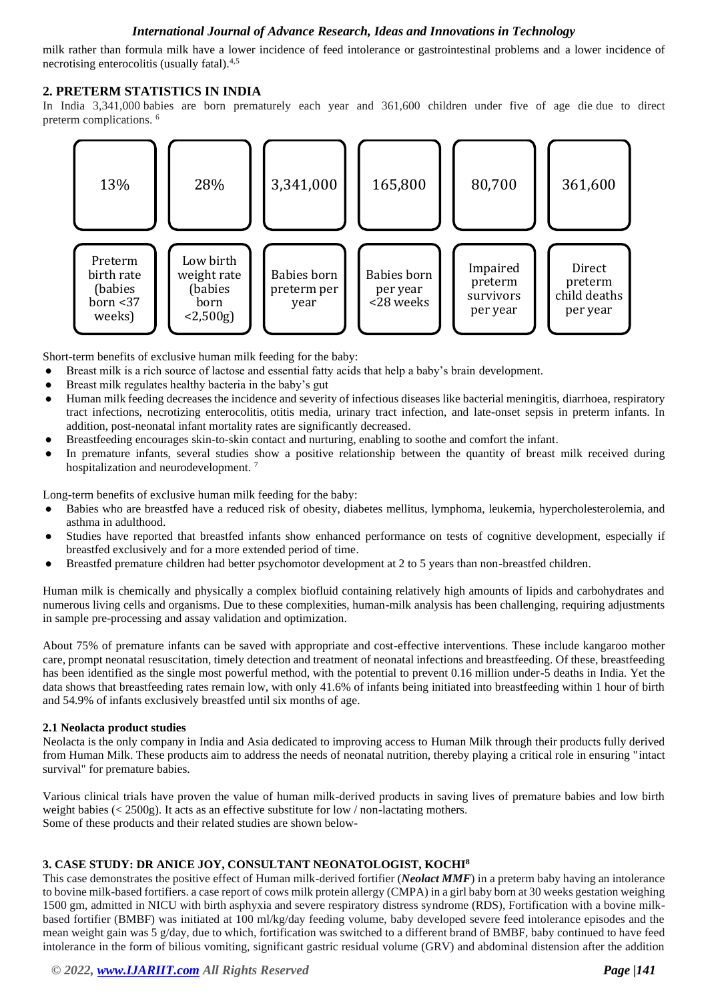milk rather than formula milk have a lower incidence of feed intolerance or gastrointestinal problems and a lower incidence of necrotising enterocolitis (usually fatal).<sup>4,5</sup>

## **2. PRETERM STATISTICS IN INDIA**

In India 3,341,000 babies are born prematurely each year and 361,600 children under five of age die due to direct preterm complications. <sup>6</sup>



Short-term benefits of exclusive human milk feeding for the baby:

- Breast milk is a rich source of lactose and essential fatty acids that help a baby's brain development.
- Breast milk regulates healthy bacteria in the baby's gut
- Human milk feeding decreases the incidence and severity of infectious diseases like bacterial meningitis, diarrhoea, respiratory tract infections, necrotizing enterocolitis, otitis media, urinary tract infection, and late-onset sepsis in preterm infants. In addition, post-neonatal infant mortality rates are significantly decreased.
- Breastfeeding encourages skin-to-skin contact and nurturing, enabling to soothe and comfort the infant.
- In premature infants, several studies show a positive relationship between the quantity of breast milk received during hospitalization and neurodevelopment.<sup>7</sup>

Long-term benefits of exclusive human milk feeding for the baby:

- Babies who are breastfed have a reduced risk of obesity, diabetes mellitus, lymphoma, leukemia, hypercholesterolemia, and asthma in adulthood.
- Studies have reported that breastfed infants show enhanced performance on tests of cognitive development, especially if breastfed exclusively and for a more extended period of time.
- Breastfed premature children had better psychomotor development at 2 to 5 years than non-breastfed children.

Human milk is chemically and physically a complex biofluid containing relatively high amounts of lipids and carbohydrates and numerous living cells and organisms. Due to these complexities, human-milk analysis has been challenging, requiring adjustments in sample pre-processing and assay validation and optimization.

About 75% of premature infants can be saved with appropriate and cost-effective interventions. These include kangaroo mother care, prompt neonatal resuscitation, timely detection and treatment of neonatal infections and breastfeeding. Of these, breastfeeding has been identified as the single most powerful method, with the potential to prevent 0.16 million under-5 deaths in India. Yet the data shows that breastfeeding rates remain low, with only 41.6% of infants being initiated into breastfeeding within 1 hour of birth and 54.9% of infants exclusively breastfed until six months of age.

#### **2.1 Neolacta product studies**

Neolacta is the only company in India and Asia dedicated to improving access to Human Milk through their products fully derived from Human Milk. These products aim to address the needs of neonatal nutrition, thereby playing a critical role in ensuring "intact survival" for premature babies.

Various clinical trials have proven the value of human milk-derived products in saving lives of premature babies and low birth weight babies ( $\lt$  2500g). It acts as an effective substitute for low / non-lactating mothers. Some of these products and their related studies are shown below-

## **3. CASE STUDY: DR ANICE JOY, CONSULTANT NEONATOLOGIST, KOCHI<sup>8</sup>**

This case demonstrates the positive effect of Human milk-derived fortifier (*Neolact MMF*) in a preterm baby having an intolerance to bovine milk-based fortifiers. a case report of cows milk protein allergy (CMPA) in a girl baby born at 30 weeks gestation weighing 1500 gm, admitted in NICU with birth asphyxia and severe respiratory distress syndrome (RDS), Fortification with a bovine milkbased fortifier (BMBF) was initiated at 100 ml/kg/day feeding volume, baby developed severe feed intolerance episodes and the mean weight gain was 5 g/day, due to which, fortification was switched to a different brand of BMBF, baby continued to have feed intolerance in the form of bilious vomiting, significant gastric residual volume (GRV) and abdominal distension after the addition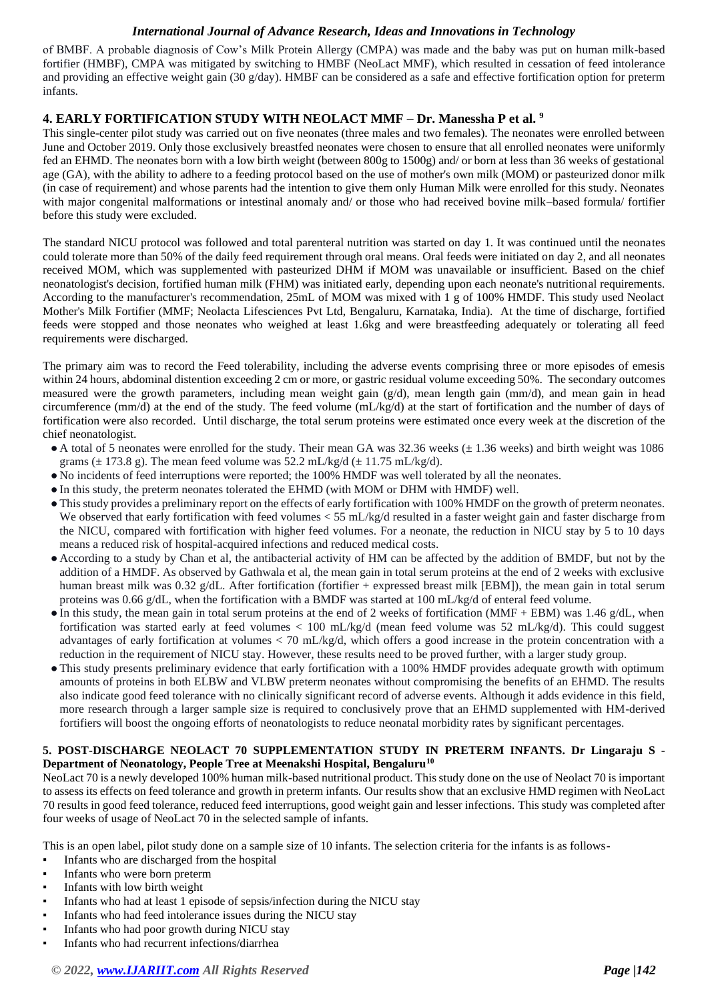of BMBF. A probable diagnosis of Cow's Milk Protein Allergy (CMPA) was made and the baby was put on human milk-based fortifier (HMBF), CMPA was mitigated by switching to HMBF (NeoLact MMF), which resulted in cessation of feed intolerance and providing an effective weight gain (30 g/day). HMBF can be considered as a safe and effective fortification option for preterm infants.

# **4. EARLY FORTIFICATION STUDY WITH NEOLACT MMF – Dr. Manessha P et al. <sup>9</sup>**

This single-center pilot study was carried out on five neonates (three males and two females). The neonates were enrolled between June and October 2019. Only those exclusively breastfed neonates were chosen to ensure that all enrolled neonates were uniformly fed an EHMD. The neonates born with a low birth weight (between 800g to 1500g) and/ or born at less than 36 weeks of gestational age (GA), with the ability to adhere to a feeding protocol based on the use of mother's own milk (MOM) or pasteurized donor milk (in case of requirement) and whose parents had the intention to give them only Human Milk were enrolled for this study. Neonates with major congenital malformations or intestinal anomaly and/ or those who had received bovine milk–based formula/ fortifier before this study were excluded.

The standard NICU protocol was followed and total parenteral nutrition was started on day 1. It was continued until the neonates could tolerate more than 50% of the daily feed requirement through oral means. Oral feeds were initiated on day 2, and all neonates received MOM, which was supplemented with pasteurized DHM if MOM was unavailable or insufficient. Based on the chief neonatologist's decision, fortified human milk (FHM) was initiated early, depending upon each neonate's nutritional requirements. According to the manufacturer's recommendation, 25mL of MOM was mixed with 1 g of 100% HMDF. This study used Neolact Mother's Milk Fortifier (MMF; Neolacta Lifesciences Pvt Ltd, Bengaluru, Karnataka, India). At the time of discharge, fortified feeds were stopped and those neonates who weighed at least 1.6kg and were breastfeeding adequately or tolerating all feed requirements were discharged.

The primary aim was to record the Feed tolerability, including the adverse events comprising three or more episodes of emesis within 24 hours, abdominal distention exceeding 2 cm or more, or gastric residual volume exceeding 50%. The secondary outcomes measured were the growth parameters, including mean weight gain  $(g/d)$ , mean length gain (mm/d), and mean gain in head circumference (mm/d) at the end of the study. The feed volume (mL/kg/d) at the start of fortification and the number of days of fortification were also recorded. Until discharge, the total serum proteins were estimated once every week at the discretion of the chief neonatologist.

- A total of 5 neonates were enrolled for the study. Their mean GA was 32.36 weeks ( $\pm$  1.36 weeks) and birth weight was 1086 grams ( $\pm$  173.8 g). The mean feed volume was 52.2 mL/kg/d ( $\pm$  11.75 mL/kg/d).
- No incidents of feed interruptions were reported; the 100% HMDF was well tolerated by all the neonates.
- In this study, the preterm neonates tolerated the EHMD (with MOM or DHM with HMDF) well.
- This study provides a preliminary report on the effects of early fortification with 100% HMDF on the growth of preterm neonates. We observed that early fortification with feed volumes  $<$  55 mL/kg/d resulted in a faster weight gain and faster discharge from the NICU, compared with fortification with higher feed volumes. For a neonate, the reduction in NICU stay by 5 to 10 days means a reduced risk of hospital-acquired infections and reduced medical costs.
- According to a study by Chan et al, the antibacterial activity of HM can be affected by the addition of BMDF, but not by the addition of a HMDF. As observed by Gathwala et al, the mean gain in total serum proteins at the end of 2 weeks with exclusive human breast milk was 0.32 g/dL. After fortification (fortifier + expressed breast milk [EBM]), the mean gain in total serum proteins was 0.66 g/dL, when the fortification with a BMDF was started at 100 mL/kg/d of enteral feed volume.
- $\bullet$  In this study, the mean gain in total serum proteins at the end of 2 weeks of fortification (MMF + EBM) was 1.46 g/dL, when fortification was started early at feed volumes < 100 mL/kg/d (mean feed volume was 52 mL/kg/d). This could suggest advantages of early fortification at volumes < 70 mL/kg/d, which offers a good increase in the protein concentration with a reduction in the requirement of NICU stay. However, these results need to be proved further, with a larger study group.
- This study presents preliminary evidence that early fortification with a 100% HMDF provides adequate growth with optimum amounts of proteins in both ELBW and VLBW preterm neonates without compromising the benefits of an EHMD. The results also indicate good feed tolerance with no clinically significant record of adverse events. Although it adds evidence in this field, more research through a larger sample size is required to conclusively prove that an EHMD supplemented with HM-derived fortifiers will boost the ongoing efforts of neonatologists to reduce neonatal morbidity rates by significant percentages.

#### **5. POST-DISCHARGE NEOLACT 70 SUPPLEMENTATION STUDY IN PRETERM INFANTS. Dr Lingaraju S - Department of Neonatology, People Tree at Meenakshi Hospital, Bengaluru<sup>10</sup>**

NeoLact 70 is a newly developed 100% human milk-based nutritional product. This study done on the use of Neolact 70 is important to assess its effects on feed tolerance and growth in preterm infants. Our results show that an exclusive HMD regimen with NeoLact 70 results in good feed tolerance, reduced feed interruptions, good weight gain and lesser infections. This study was completed after four weeks of usage of NeoLact 70 in the selected sample of infants.

This is an open label, pilot study done on a sample size of 10 infants. The selection criteria for the infants is as follows-

- Infants who are discharged from the hospital
- Infants who were born preterm
- Infants with low birth weight
- Infants who had at least 1 episode of sepsis/infection during the NICU stay
- Infants who had feed intolerance issues during the NICU stay
- Infants who had poor growth during NICU stay
- Infants who had recurrent infections/diarrhea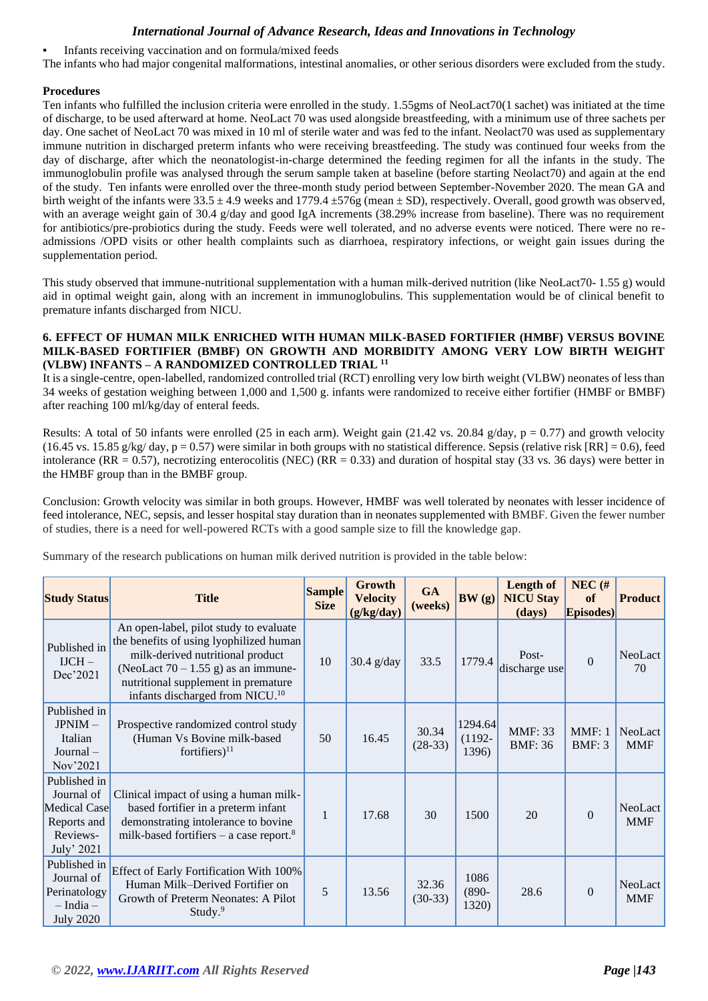Infants receiving vaccination and on formula/mixed feeds

The infants who had major congenital malformations, intestinal anomalies, or other serious disorders were excluded from the study.

## **Procedures**

Ten infants who fulfilled the inclusion criteria were enrolled in the study. 1.55gms of NeoLact70(1 sachet) was initiated at the time of discharge, to be used afterward at home. NeoLact 70 was used alongside breastfeeding, with a minimum use of three sachets per day. One sachet of NeoLact 70 was mixed in 10 ml of sterile water and was fed to the infant. Neolact70 was used as supplementary immune nutrition in discharged preterm infants who were receiving breastfeeding. The study was continued four weeks from the day of discharge, after which the neonatologist-in-charge determined the feeding regimen for all the infants in the study. The immunoglobulin profile was analysed through the serum sample taken at baseline (before starting Neolact70) and again at the end of the study. Ten infants were enrolled over the three-month study period between September-November 2020. The mean GA and birth weight of the infants were  $33.5 \pm 4.9$  weeks and  $1779.4 \pm 576$ g (mean  $\pm$  SD), respectively. Overall, good growth was observed, with an average weight gain of 30.4 g/day and good IgA increments (38.29% increase from baseline). There was no requirement for antibiotics/pre-probiotics during the study. Feeds were well tolerated, and no adverse events were noticed. There were no readmissions /OPD visits or other health complaints such as diarrhoea, respiratory infections, or weight gain issues during the supplementation period.

This study observed that immune-nutritional supplementation with a human milk-derived nutrition (like NeoLact70- 1.55 g) would aid in optimal weight gain, along with an increment in immunoglobulins. This supplementation would be of clinical benefit to premature infants discharged from NICU.

#### **6. EFFECT OF HUMAN MILK ENRICHED WITH HUMAN MILK-BASED FORTIFIER (HMBF) VERSUS BOVINE MILK-BASED FORTIFIER (BMBF) ON GROWTH AND MORBIDITY AMONG VERY LOW BIRTH WEIGHT (VLBW) INFANTS – A RANDOMIZED CONTROLLED TRIAL <sup>11</sup>**

It is a single-centre, open-labelled, randomized controlled trial (RCT) enrolling very low birth weight (VLBW) neonates of less than 34 weeks of gestation weighing between 1,000 and 1,500 g. infants were randomized to receive either fortifier (HMBF or BMBF) after reaching 100 ml/kg/day of enteral feeds.

Results: A total of 50 infants were enrolled (25 in each arm). Weight gain (21.42 vs. 20.84 g/day,  $p = 0.77$ ) and growth velocity (16.45 vs. 15.85 g/kg/ day,  $p = 0.57$ ) were similar in both groups with no statistical difference. Sepsis (relative risk [RR] = 0.6), feed intolerance (RR = 0.57), necrotizing enterocolitis (NEC) (RR = 0.33) and duration of hospital stay (33 vs. 36 days) were better in the HMBF group than in the BMBF group.

Conclusion: Growth velocity was similar in both groups. However, HMBF was well tolerated by neonates with lesser incidence of feed intolerance, NEC, sepsis, and lesser hospital stay duration than in neonates supplemented with BMBF. Given the fewer number of studies, there is a need for well-powered RCTs with a good sample size to fill the knowledge gap.

Summary of the research publications on human milk derived nutrition is provided in the table below:

| <b>Study Status</b>                                                                 | <b>Title</b>                                                                                                                                                                                                                                       | <b>Sample</b><br><b>Size</b> | Growth<br><b>Velocity</b><br>(g/kg/day) | <b>GA</b><br>(weeks) | BW(g)                         | <b>Length of</b><br><b>NICU Stay</b><br>(days) | $NEC$ (#<br>of<br>Episodes) | <b>Product</b>        |
|-------------------------------------------------------------------------------------|----------------------------------------------------------------------------------------------------------------------------------------------------------------------------------------------------------------------------------------------------|------------------------------|-----------------------------------------|----------------------|-------------------------------|------------------------------------------------|-----------------------------|-----------------------|
| Published in<br>$IJCH -$<br>Dec'2021                                                | An open-label, pilot study to evaluate<br>the benefits of using lyophilized human<br>milk-derived nutritional product<br>(NeoLact 70 – 1.55 g) as an immune-<br>nutritional supplement in premature<br>infants discharged from NICU. <sup>10</sup> | 10                           | $30.4$ g/day                            | 33.5                 | 1779.4                        | Post-<br>discharge use                         | $\Omega$                    | NeoLact<br>70         |
| Published in<br>JPNIM-<br>Italian<br>$Journal -$<br>Nov'2021                        | Prospective randomized control study<br>(Human Vs Bovine milk-based<br>fortifiers) $^{11}$                                                                                                                                                         | 50                           | 16.45                                   | 30.34<br>$(28-33)$   | 1294.64<br>$(1192 -$<br>1396) | <b>MMF: 33</b><br><b>BMF: 36</b>               | MMF: 1<br><b>BMF: 3</b>     | NeoLact<br><b>MMF</b> |
| Published in<br>Journal of<br>Medical Case<br>Reports and<br>Reviews-<br>July' 2021 | Clinical impact of using a human milk-<br>based fortifier in a preterm infant<br>demonstrating intolerance to bovine<br>milk-based fortifiers – a case report. $8$                                                                                 | $\mathbf{1}$                 | 17.68                                   | 30                   | 1500                          | 20                                             | $\Omega$                    | NeoLact<br><b>MMF</b> |
| Published in<br>Journal of<br>Perinatology<br>$- India -$<br><b>July 2020</b>       | <b>Effect of Early Fortification With 100%</b><br>Human Milk-Derived Fortifier on<br>Growth of Preterm Neonates: A Pilot<br>Study. <sup>9</sup>                                                                                                    | 5                            | 13.56                                   | 32.36<br>$(30-33)$   | 1086<br>$(890 -$<br>1320)     | 28.6                                           | $\Omega$                    | NeoLact<br><b>MMF</b> |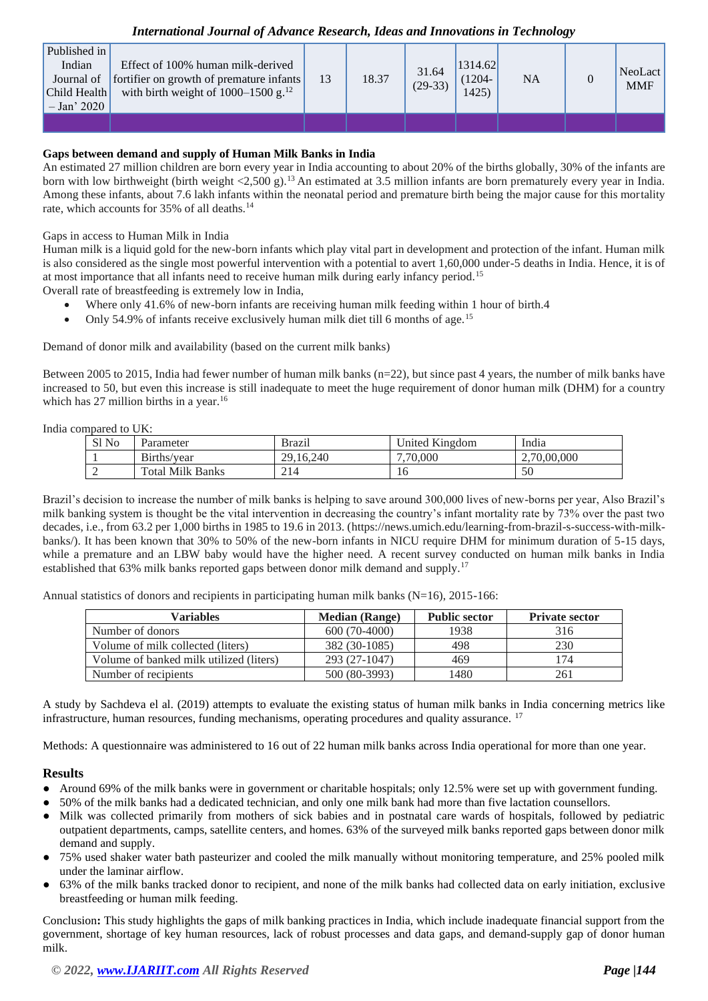| Published in<br>Indian<br>Child Health<br>$-$ Jan' 2020 | Effect of 100% human milk-derived<br>Journal of fortifier on growth of premature infants<br>with birth weight of $1000-1500$ g. <sup>12</sup> | 13 | 18.37 | 31.64<br>$(29-33)$ | 1314.62<br>$(1204 -$<br>1425 | <b>NA</b> | NeoLact<br><b>MMF</b> |
|---------------------------------------------------------|-----------------------------------------------------------------------------------------------------------------------------------------------|----|-------|--------------------|------------------------------|-----------|-----------------------|
|                                                         |                                                                                                                                               |    |       |                    |                              |           |                       |

## **Gaps between demand and supply of Human Milk Banks in India**

An estimated 27 million children are born every year in India accounting to about 20% of the births globally, 30% of the infants are born with low birthweight (birth weight <2,500 g).<sup>13</sup> An estimated at 3.5 million infants are born prematurely every year in India. Among these infants, about 7.6 lakh infants within the neonatal period and premature birth being the major cause for this mortality rate, which accounts for 35% of all deaths.<sup>14</sup>

Gaps in access to Human Milk in India

Human milk is a liquid gold for the new-born infants which play vital part in development and protection of the infant. Human milk is also considered as the single most powerful intervention with a potential to avert 1,60,000 under-5 deaths in India. Hence, it is of at most importance that all infants need to receive human milk during early infancy period.<sup>15</sup>

Overall rate of breastfeeding is extremely low in India,

- Where only 41.6% of new-born infants are receiving human milk feeding within 1 hour of birth.4
- Only 54.9% of infants receive exclusively human milk diet till 6 months of age.<sup>15</sup>

Demand of donor milk and availability (based on the current milk banks)

Between 2005 to 2015, India had fewer number of human milk banks (n=22), but since past 4 years, the number of milk banks have increased to 50, but even this increase is still inadequate to meet the huge requirement of donor human milk (DHM) for a country which has 27 million births in a year.<sup>16</sup>

India compared to UK:

| $\cdots$ |                         |               |                |             |  |  |  |  |
|----------|-------------------------|---------------|----------------|-------------|--|--|--|--|
| Sl No    | Parameter               | <b>Brazil</b> | United Kingdom | India       |  |  |  |  |
|          | Births/year             | 29.16.240     | 7,70,000       | 2,70,00,000 |  |  |  |  |
|          | <b>Total Milk Banks</b> | 214           | 16             | 50          |  |  |  |  |

Brazil's decision to increase the number of milk banks is helping to save around 300,000 lives of new-borns per year, Also Brazil's milk banking system is thought be the vital intervention in decreasing the country's infant mortality rate by 73% over the past two decades, i.e., from 63.2 per 1,000 births in 1985 to 19.6 in 2013. [\(https://news.umich.edu/learning-from-brazil-s-success-with-milk](https://news.umich.edu/learning-from-brazil-s-success-with-milk-banks/)[banks/\)](https://news.umich.edu/learning-from-brazil-s-success-with-milk-banks/). It has been known that 30% to 50% of the new-born infants in NICU require DHM for minimum duration of 5-15 days, while a premature and an LBW baby would have the higher need. A recent survey conducted on human milk banks in India established that 63% milk banks reported gaps between donor milk demand and supply.<sup>17</sup>

Annual statistics of donors and recipients in participating human milk banks (N=16), 2015-166:

| Variables                               | <b>Median</b> (Range) | <b>Public sector</b> | <b>Private sector</b> |
|-----------------------------------------|-----------------------|----------------------|-----------------------|
| Number of donors                        | 600 (70-4000)         | 1938                 | 316                   |
| Volume of milk collected (liters)       | 382 (30-1085)         | 498                  | 230                   |
| Volume of banked milk utilized (liters) | 293 (27-1047)         | 469                  | 174                   |
| Number of recipients                    | 500 (80-3993)         | 1480                 | 261                   |

A study by Sachdeva el al. (2019) attempts to evaluate the existing status of human milk banks in India concerning metrics like infrastructure, human resources, funding mechanisms, operating procedures and quality assurance. <sup>17</sup>

Methods: A questionnaire was administered to 16 out of 22 human milk banks across India operational for more than one year.

#### **Results**

- Around 69% of the milk banks were in government or charitable hospitals; only 12.5% were set up with government funding.
- 50% of the milk banks had a dedicated technician, and only one milk bank had more than five lactation counsellors.
- Milk was collected primarily from mothers of sick babies and in postnatal care wards of hospitals, followed by pediatric outpatient departments, camps, satellite centers, and homes. 63% of the surveyed milk banks reported gaps between donor milk demand and supply.
- 75% used shaker water bath pasteurizer and cooled the milk manually without monitoring temperature, and 25% pooled milk under the laminar airflow.
- 63% of the milk banks tracked donor to recipient, and none of the milk banks had collected data on early initiation, exclusive breastfeeding or human milk feeding.

Conclusion**:** This study highlights the gaps of milk banking practices in India, which include inadequate financial support from the government, shortage of key human resources, lack of robust processes and data gaps, and demand-supply gap of donor human milk.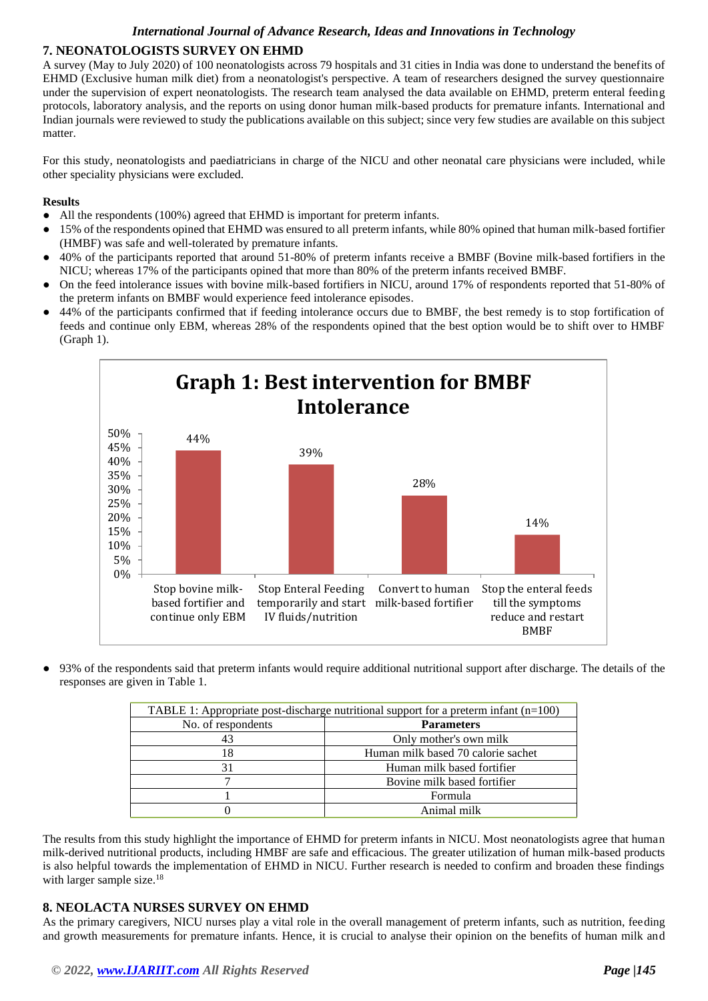# **7. NEONATOLOGISTS SURVEY ON EHMD**

A survey (May to July 2020) of 100 neonatologists across 79 hospitals and 31 cities in India was done to understand the benefits of EHMD (Exclusive human milk diet) from a neonatologist's perspective. A team of researchers designed the survey questionnaire under the supervision of expert neonatologists. The research team analysed the data available on EHMD, preterm enteral feeding protocols, laboratory analysis, and the reports on using donor human milk-based products for premature infants. International and Indian journals were reviewed to study the publications available on this subject; since very few studies are available on this subject matter.

For this study, neonatologists and paediatricians in charge of the NICU and other neonatal care physicians were included, while other speciality physicians were excluded.

## **Results**

- All the respondents (100%) agreed that EHMD is important for preterm infants.
- 15% of the respondents opined that EHMD was ensured to all preterm infants, while 80% opined that human milk-based fortifier (HMBF) was safe and well-tolerated by premature infants.
- 40% of the participants reported that around 51-80% of preterm infants receive a BMBF (Bovine milk-based fortifiers in the NICU; whereas 17% of the participants opined that more than 80% of the preterm infants received BMBF.
- On the feed intolerance issues with bovine milk-based fortifiers in NICU, around 17% of respondents reported that 51-80% of the preterm infants on BMBF would experience feed intolerance episodes.
- 44% of the participants confirmed that if feeding intolerance occurs due to BMBF, the best remedy is to stop fortification of feeds and continue only EBM, whereas 28% of the respondents opined that the best option would be to shift over to HMBF (Graph 1).



93% of the respondents said that preterm infants would require additional nutritional support after discharge. The details of the responses are given in Table 1.

| TABLE 1: Appropriate post-discharge nutritional support for a preterm infant $(n=100)$ |                                    |  |  |  |
|----------------------------------------------------------------------------------------|------------------------------------|--|--|--|
| No. of respondents                                                                     | <b>Parameters</b>                  |  |  |  |
| 43                                                                                     | Only mother's own milk             |  |  |  |
| 18                                                                                     | Human milk based 70 calorie sachet |  |  |  |
| 31                                                                                     | Human milk based fortifier         |  |  |  |
|                                                                                        | Bovine milk based fortifier        |  |  |  |
|                                                                                        | Formula                            |  |  |  |
|                                                                                        | Animal milk                        |  |  |  |

The results from this study highlight the importance of EHMD for preterm infants in NICU. Most neonatologists agree that human milk-derived nutritional products, including HMBF are safe and efficacious. The greater utilization of human milk-based products is also helpful towards the implementation of EHMD in NICU. Further research is needed to confirm and broaden these findings with larger sample size.<sup>18</sup>

## **8. NEOLACTA NURSES SURVEY ON EHMD**

As the primary caregivers, NICU nurses play a vital role in the overall management of preterm infants, such as nutrition, feeding and growth measurements for premature infants. Hence, it is crucial to analyse their opinion on the benefits of human milk and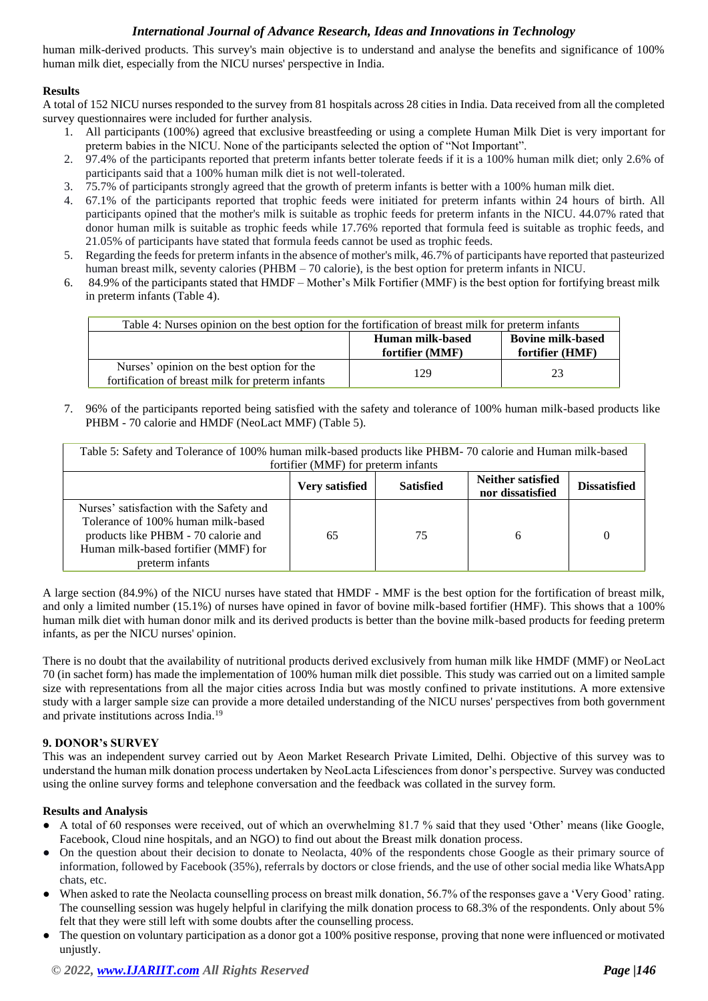human milk-derived products. This survey's main objective is to understand and analyse the benefits and significance of 100% human milk diet, especially from the NICU nurses' perspective in India.

## **Results**

A total of 152 NICU nurses responded to the survey from 81 hospitals across 28 cities in India. Data received from all the completed survey questionnaires were included for further analysis.

- 1. All participants (100%) agreed that exclusive breastfeeding or using a complete Human Milk Diet is very important for preterm babies in the NICU. None of the participants selected the option of "Not Important".
- 2. 97.4% of the participants reported that preterm infants better tolerate feeds if it is a 100% human milk diet; only 2.6% of participants said that a 100% human milk diet is not well-tolerated.
- 3. 75.7% of participants strongly agreed that the growth of preterm infants is better with a 100% human milk diet.
- 4. 67.1% of the participants reported that trophic feeds were initiated for preterm infants within 24 hours of birth. All participants opined that the mother's milk is suitable as trophic feeds for preterm infants in the NICU. 44.07% rated that donor human milk is suitable as trophic feeds while 17.76% reported that formula feed is suitable as trophic feeds, and 21.05% of participants have stated that formula feeds cannot be used as trophic feeds.
- 5. Regarding the feeds for preterm infants in the absence of mother's milk, 46.7% of participants have reported that pasteurized human breast milk, seventy calories (PHBM – 70 calorie), is the best option for preterm infants in NICU.
- 6. 84.9% of the participants stated that HMDF Mother's Milk Fortifier (MMF) is the best option for fortifying breast milk in preterm infants (Table 4).

| Table 4: Nurses opinion on the best option for the fortification of breast milk for preterm infants |                                                                                    |    |  |  |  |
|-----------------------------------------------------------------------------------------------------|------------------------------------------------------------------------------------|----|--|--|--|
|                                                                                                     | <b>Bovine milk-based</b><br>Human milk-based<br>fortifier (HMF)<br>fortifier (MMF) |    |  |  |  |
| Nurses' opinion on the best option for the<br>fortification of breast milk for preterm infants      | 129                                                                                | 23 |  |  |  |

7. 96% of the participants reported being satisfied with the safety and tolerance of 100% human milk-based products like PHBM - 70 calorie and HMDF (NeoLact MMF) (Table 5).

| Table 5: Safety and Tolerance of 100% human milk-based products like PHBM-70 calorie and Human milk-based                                                                        |                |                  |                                              |                     |  |  |  |
|----------------------------------------------------------------------------------------------------------------------------------------------------------------------------------|----------------|------------------|----------------------------------------------|---------------------|--|--|--|
| fortifier (MMF) for preterm infants                                                                                                                                              |                |                  |                                              |                     |  |  |  |
|                                                                                                                                                                                  | Very satisfied | <b>Satisfied</b> | <b>Neither satisfied</b><br>nor dissatisfied | <b>Dissatisfied</b> |  |  |  |
| Nurses' satisfaction with the Safety and<br>Tolerance of 100% human milk-based<br>products like PHBM - 70 calorie and<br>Human milk-based fortifier (MMF) for<br>preterm infants | 65             | 75               | 6                                            | $\theta$            |  |  |  |

A large section (84.9%) of the NICU nurses have stated that HMDF - MMF is the best option for the fortification of breast milk, and only a limited number (15.1%) of nurses have opined in favor of bovine milk-based fortifier (HMF). This shows that a 100% human milk diet with human donor milk and its derived products is better than the bovine milk-based products for feeding preterm infants, as per the NICU nurses' opinion.

There is no doubt that the availability of nutritional products derived exclusively from human milk like HMDF (MMF) or NeoLact 70 (in sachet form) has made the implementation of 100% human milk diet possible. This study was carried out on a limited sample size with representations from all the major cities across India but was mostly confined to private institutions. A more extensive study with a larger sample size can provide a more detailed understanding of the NICU nurses' perspectives from both government and private institutions across India.<sup>19</sup>

## **9. DONOR's SURVEY**

This was an independent survey carried out by Aeon Market Research Private Limited, Delhi. Objective of this survey was to understand the human milk donation process undertaken by NeoLacta Lifesciences from donor's perspective. Survey was conducted using the online survey forms and telephone conversation and the feedback was collated in the survey form.

## **Results and Analysis**

- A total of 60 responses were received, out of which an overwhelming 81.7 % said that they used 'Other' means (like Google, Facebook, Cloud nine hospitals, and an NGO) to find out about the Breast milk donation process.
- On the question about their decision to donate to Neolacta, 40% of the respondents chose Google as their primary source of information, followed by Facebook (35%), referrals by doctors or close friends, and the use of other social media like WhatsApp chats, etc.
- When asked to rate the Neolacta counselling process on breast milk donation, 56.7% of the responses gave a 'Very Good' rating. The counselling session was hugely helpful in clarifying the milk donation process to 68.3% of the respondents. Only about 5% felt that they were still left with some doubts after the counselling process.
- The question on voluntary participation as a donor got a 100% positive response, proving that none were influenced or motivated unjustly.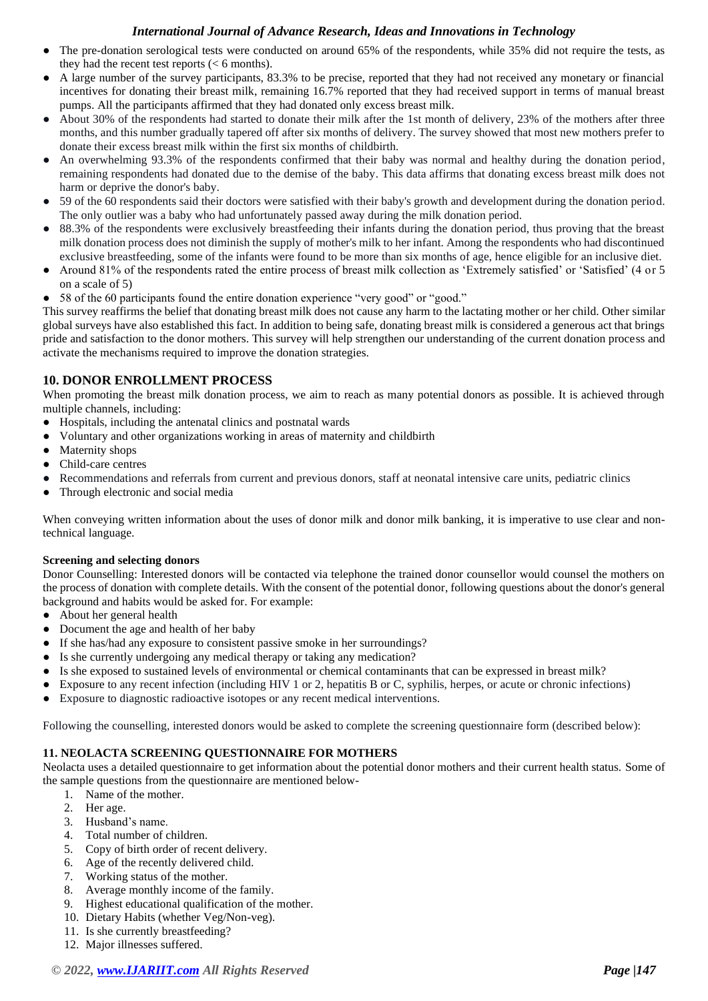- The pre-donation serological tests were conducted on around 65% of the respondents, while 35% did not require the tests, as they had the recent test reports (< 6 months).
- A large number of the survey participants, 83.3% to be precise, reported that they had not received any monetary or financial incentives for donating their breast milk, remaining 16.7% reported that they had received support in terms of manual breast pumps. All the participants affirmed that they had donated only excess breast milk.
- About 30% of the respondents had started to donate their milk after the 1st month of delivery, 23% of the mothers after three months, and this number gradually tapered off after six months of delivery. The survey showed that most new mothers prefer to donate their excess breast milk within the first six months of childbirth.
- An overwhelming 93.3% of the respondents confirmed that their baby was normal and healthy during the donation period, remaining respondents had donated due to the demise of the baby. This data affirms that donating excess breast milk does not harm or deprive the donor's baby.
- 59 of the 60 respondents said their doctors were satisfied with their baby's growth and development during the donation period. The only outlier was a baby who had unfortunately passed away during the milk donation period.
- 88.3% of the respondents were exclusively breastfeeding their infants during the donation period, thus proving that the breast milk donation process does not diminish the supply of mother's milk to her infant. Among the respondents who had discontinued exclusive breastfeeding, some of the infants were found to be more than six months of age, hence eligible for an inclusive diet.
- Around 81% of the respondents rated the entire process of breast milk collection as 'Extremely satisfied' or 'Satisfied' (4 or 5 on a scale of 5)
- 58 of the 60 participants found the entire donation experience "very good" or "good."

This survey reaffirms the belief that donating breast milk does not cause any harm to the lactating mother or her child. Other similar global surveys have also established this fact. In addition to being safe, donating breast milk is considered a generous act that brings pride and satisfaction to the donor mothers. This survey will help strengthen our understanding of the current donation process and activate the mechanisms required to improve the donation strategies.

# **10. DONOR ENROLLMENT PROCESS**

When promoting the breast milk donation process, we aim to reach as many potential donors as possible. It is achieved through multiple channels, including:

- Hospitals, including the antenatal clinics and postnatal wards
- Voluntary and other organizations working in areas of maternity and childbirth
- Maternity shops
- Child-care centres
- Recommendations and referrals from current and previous donors, staff at neonatal intensive care units, pediatric clinics
- Through electronic and social media

When conveying written information about the uses of donor milk and donor milk banking, it is imperative to use clear and nontechnical language.

#### **Screening and selecting donors**

Donor Counselling: Interested donors will be contacted via telephone the trained donor counsellor would counsel the mothers on the process of donation with complete details. With the consent of the potential donor, following questions about the donor's general background and habits would be asked for. For example:

- About her general health
- Document the age and health of her baby
- If she has/had any exposure to consistent passive smoke in her surroundings?
- Is she currently undergoing any medical therapy or taking any medication?
- Is she exposed to sustained levels of environmental or chemical contaminants that can be expressed in breast milk?
- Exposure to any recent infection (including HIV 1 or 2, hepatitis B or C, syphilis, herpes, or acute or chronic infections)
- Exposure to diagnostic radioactive isotopes or any recent medical interventions.

Following the counselling, interested donors would be asked to complete the screening questionnaire form (described below):

## **11. NEOLACTA SCREENING QUESTIONNAIRE FOR MOTHERS**

Neolacta uses a detailed questionnaire to get information about the potential donor mothers and their current health status. Some of the sample questions from the questionnaire are mentioned below-

- 1. Name of the mother.
- 2. Her age.
- 3. Husband's name.
- 4. Total number of children.
- 5. Copy of birth order of recent delivery.
- 6. Age of the recently delivered child.
- 7. Working status of the mother.
- 8. Average monthly income of the family.
- 9. Highest educational qualification of the mother.
- 10. Dietary Habits (whether Veg/Non-veg).
- 11. Is she currently breastfeeding?
- 12. Major illnesses suffered.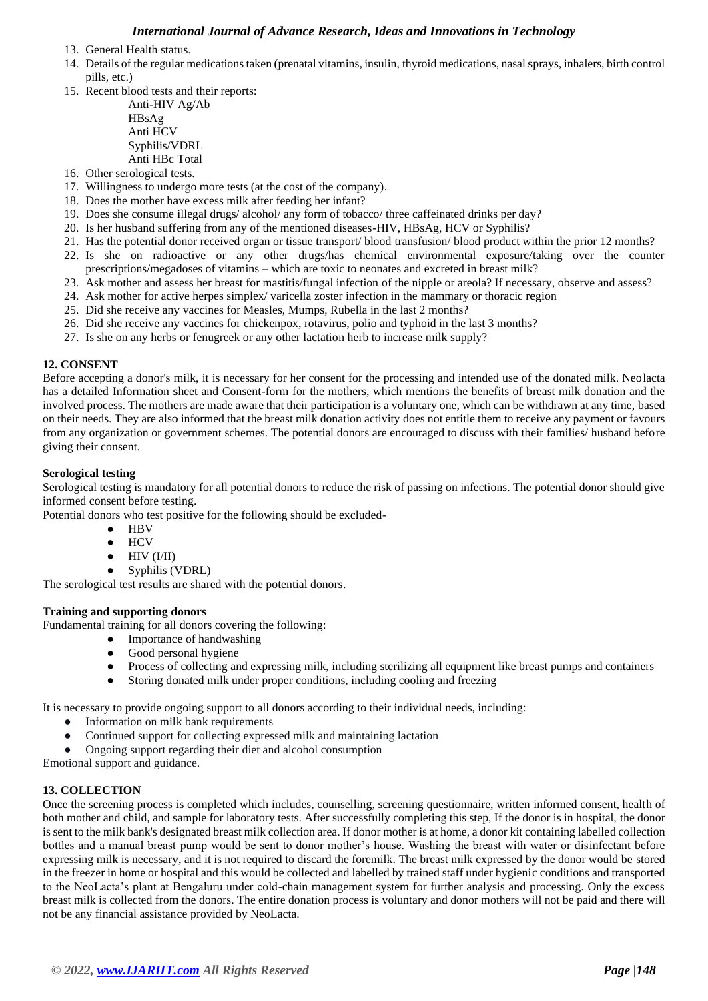- 13. General Health status.
- 14. Details of the regular medications taken (prenatal vitamins, insulin, thyroid medications, nasal sprays, inhalers, birth control pills, etc.)
- 15. Recent blood tests and their reports:
	- Anti-HIV Ag/Ab HBsAg Anti HCV Syphilis/VDRL Anti HBc Total
- 16. Other serological tests.
- 17. Willingness to undergo more tests (at the cost of the company).
- 18. Does the mother have excess milk after feeding her infant?
- 19. Does she consume illegal drugs/ alcohol/ any form of tobacco/ three caffeinated drinks per day?
- 20. Is her husband suffering from any of the mentioned diseases-HIV, HBsAg, HCV or Syphilis?
- 21. Has the potential donor received organ or tissue transport/ blood transfusion/ blood product within the prior 12 months?
- 22. Is she on radioactive or any other drugs/has chemical environmental exposure/taking over the counter prescriptions/megadoses of vitamins – which are toxic to neonates and excreted in breast milk?
- 23. Ask mother and assess her breast for mastitis/fungal infection of the nipple or areola? If necessary, observe and assess?
- 24. Ask mother for active herpes simplex/ varicella zoster infection in the mammary or thoracic region
- 25. Did she receive any vaccines for Measles, Mumps, Rubella in the last 2 months?
- 26. Did she receive any vaccines for chickenpox, rotavirus, polio and typhoid in the last 3 months?
- 27. Is she on any herbs or fenugreek or any other lactation herb to increase milk supply?

#### **12. CONSENT**

Before accepting a donor's milk, it is necessary for her consent for the processing and intended use of the donated milk. Neolacta has a detailed Information sheet and Consent-form for the mothers, which mentions the benefits of breast milk donation and the involved process. The mothers are made aware that their participation is a voluntary one, which can be withdrawn at any time, based on their needs. They are also informed that the breast milk donation activity does not entitle them to receive any payment or favours from any organization or government schemes. The potential donors are encouraged to discuss with their families/ husband before giving their consent.

#### **Serological testing**

Serological testing is mandatory for all potential donors to reduce the risk of passing on infections. The potential donor should give informed consent before testing.

Potential donors who test positive for the following should be excluded-

- HBV
- HCV
- $\bullet$  HIV (I/II)
- Syphilis (VDRL)

The serological test results are shared with the potential donors.

#### **Training and supporting donors**

Fundamental training for all donors covering the following:

- Importance of handwashing
- Good personal hygiene
- Process of collecting and expressing milk, including sterilizing all equipment like breast pumps and containers
- Storing donated milk under proper conditions, including cooling and freezing
- It is necessary to provide ongoing support to all donors according to their individual needs, including:
	- Information on milk bank requirements
	- Continued support for collecting expressed milk and maintaining lactation
	- Ongoing support regarding their diet and alcohol consumption

Emotional support and guidance.

#### **13. COLLECTION**

Once the screening process is completed which includes, counselling, screening questionnaire, written informed consent, health of both mother and child, and sample for laboratory tests. After successfully completing this step, If the donor is in hospital, the donor is sent to the milk bank's designated breast milk collection area. If donor mother is at home, a donor kit containing labelled collection bottles and a manual breast pump would be sent to donor mother's house. Washing the breast with water or disinfectant before expressing milk is necessary, and it is not required to discard the foremilk. The breast milk expressed by the donor would be stored in the freezer in home or hospital and this would be collected and labelled by trained staff under hygienic conditions and transported to the NeoLacta's plant at Bengaluru under cold-chain management system for further analysis and processing. Only the excess breast milk is collected from the donors. The entire donation process is voluntary and donor mothers will not be paid and there will not be any financial assistance provided by NeoLacta.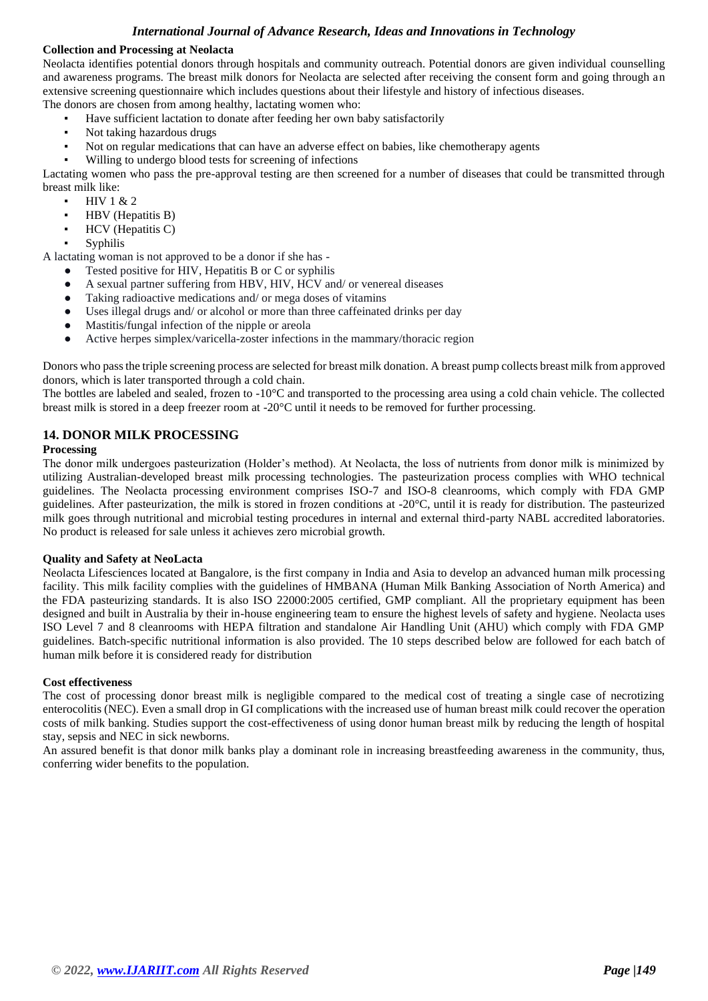#### **Collection and Processing at Neolacta**

Neolacta identifies potential donors through hospitals and community outreach. Potential donors are given individual counselling and awareness programs. The breast milk donors for Neolacta are selected after receiving the consent form and going through an extensive screening questionnaire which includes questions about their lifestyle and history of infectious diseases. The donors are chosen from among healthy, lactating women who:

- Have sufficient lactation to donate after feeding her own baby satisfactorily
- Not taking hazardous drugs
- Not on regular medications that can have an adverse effect on babies, like chemotherapy agents
- Willing to undergo blood tests for screening of infections

Lactating women who pass the pre-approval testing are then screened for a number of diseases that could be transmitted through breast milk like:

- HIV 1 & 2
	- HBV (Hepatitis B)
- HCV (Hepatitis C)
- **Syphilis**

A lactating woman is not approved to be a donor if she has -

- Tested positive for HIV, Hepatitis B or C or syphilis
- A sexual partner suffering from HBV, HIV, HCV and/ or venereal diseases
- Taking radioactive medications and/ or mega doses of vitamins
- Uses illegal drugs and/ or alcohol or more than three caffeinated drinks per day
- Mastitis/fungal infection of the nipple or areola
- Active herpes simplex/varicella-zoster infections in the mammary/thoracic region

Donors who pass the triple screening process are selected for breast milk donation. A breast pump collects breast milk from approved donors, which is later transported through a cold chain.

The bottles are labeled and sealed, frozen to -10°C and transported to the processing area using a cold chain vehicle. The collected breast milk is stored in a deep freezer room at -20°C until it needs to be removed for further processing.

## **14. DONOR MILK PROCESSING**

#### **Processing**

The donor milk undergoes pasteurization (Holder's method). At Neolacta, the loss of nutrients from donor milk is minimized by utilizing Australian-developed breast milk processing technologies. The pasteurization process complies with WHO technical guidelines. The Neolacta processing environment comprises ISO-7 and ISO-8 cleanrooms, which comply with FDA GMP guidelines. After pasteurization, the milk is stored in frozen conditions at -20°C, until it is ready for distribution. The pasteurized milk goes through nutritional and microbial testing procedures in internal and external third-party NABL accredited laboratories. No product is released for sale unless it achieves zero microbial growth.

#### **Quality and Safety at NeoLacta**

Neolacta Lifesciences located at Bangalore, is the first company in India and Asia to develop an advanced human milk processing facility. This milk facility complies with the guidelines of HMBANA (Human Milk Banking Association of North America) and the FDA pasteurizing standards. It is also ISO 22000:2005 certified, GMP compliant. All the proprietary equipment has been designed and built in Australia by their in-house engineering team to ensure the highest levels of safety and hygiene. Neolacta uses ISO Level 7 and 8 cleanrooms with HEPA filtration and standalone Air Handling Unit (AHU) which comply with FDA GMP guidelines. Batch-specific nutritional information is also provided. The 10 steps described below are followed for each batch of human milk before it is considered ready for distribution

#### **Cost effectiveness**

The cost of processing donor breast milk is negligible compared to the medical cost of treating a single case of necrotizing enterocolitis (NEC). Even a small drop in GI complications with the increased use of human breast milk could recover the operation costs of milk banking. Studies support the cost-effectiveness of using donor human breast milk by reducing the length of hospital stay, sepsis and NEC in sick newborns.

An assured benefit is that donor milk banks play a dominant role in increasing breastfeeding awareness in the community, thus, conferring wider benefits to the population.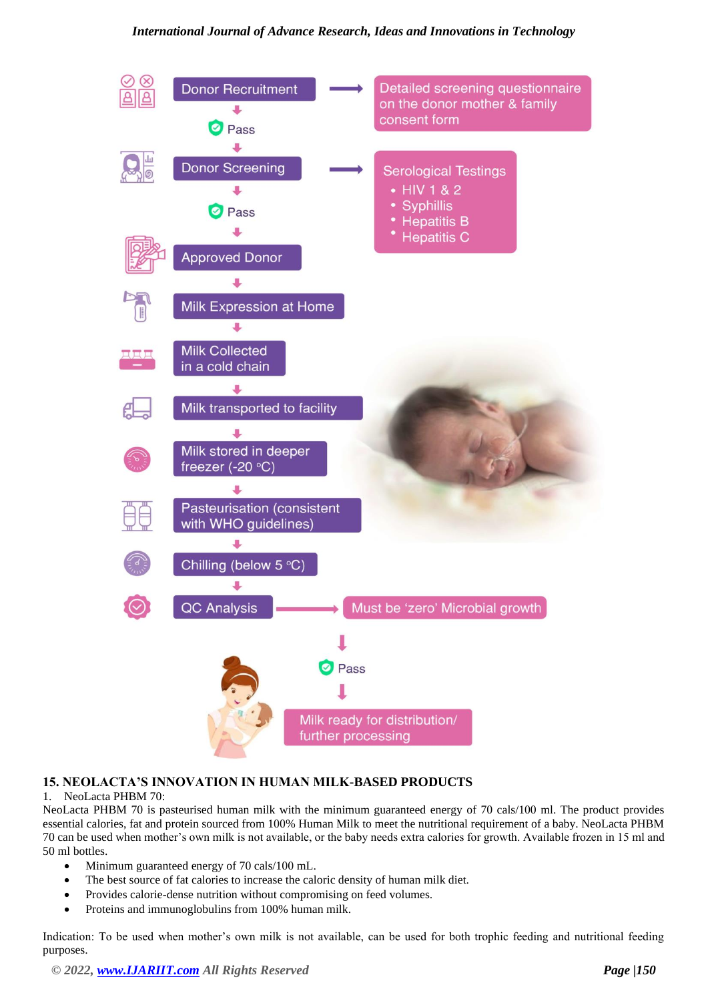

# **15. NEOLACTA'S INNOVATION IN HUMAN MILK-BASED PRODUCTS**

## 1. NeoLacta PHBM 70:

NeoLacta PHBM 70 is pasteurised human milk with the minimum guaranteed energy of 70 cals/100 ml. The product provides essential calories, fat and protein sourced from 100% Human Milk to meet the nutritional requirement of a baby. NeoLacta PHBM 70 can be used when mother's own milk is not available, or the baby needs extra calories for growth. Available frozen in 15 ml and 50 ml bottles.

- Minimum guaranteed energy of 70 cals/100 mL.
- The best source of fat calories to increase the caloric density of human milk diet.
- Provides calorie-dense nutrition without compromising on feed volumes.
- Proteins and immunoglobulins from 100% human milk.

Indication: To be used when mother's own milk is not available, can be used for both trophic feeding and nutritional feeding purposes.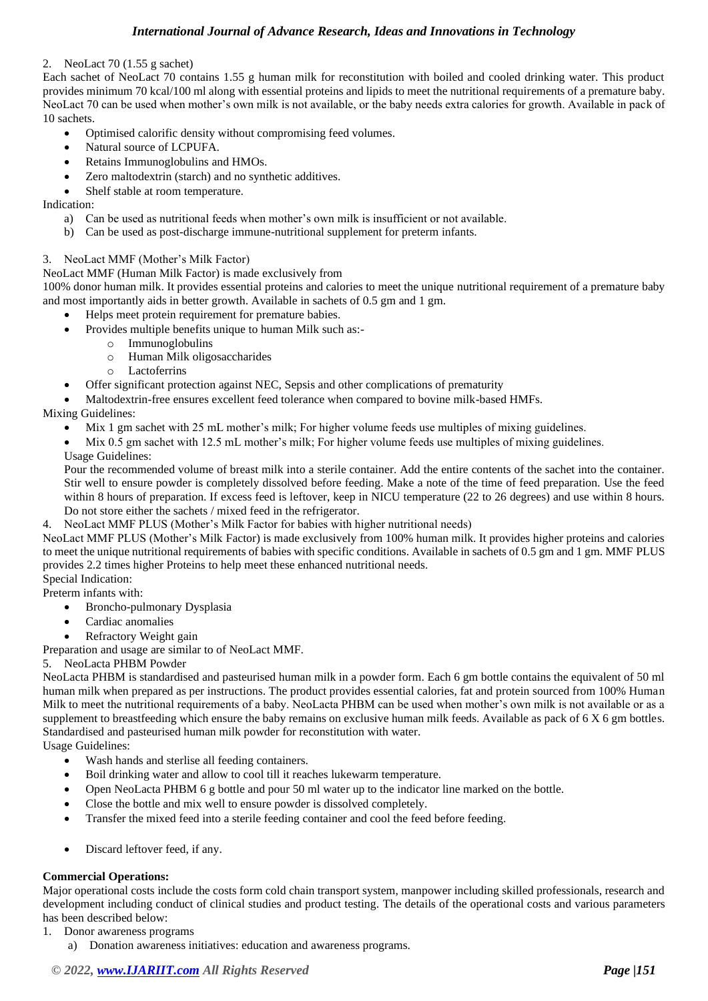#### 2. NeoLact 70 (1.55 g sachet)

Each sachet of NeoLact 70 contains 1.55 g human milk for reconstitution with boiled and cooled drinking water. This product provides minimum 70 kcal/100 ml along with essential proteins and lipids to meet the nutritional requirements of a premature baby. NeoLact 70 can be used when mother's own milk is not available, or the baby needs extra calories for growth. Available in pack of 10 sachets.

- Optimised calorific density without compromising feed volumes.
- Natural source of LCPUFA.
- Retains Immunoglobulins and HMOs.
- Zero maltodextrin (starch) and no synthetic additives.
- Shelf stable at room temperature.

Indication:

- a) Can be used as nutritional feeds when mother's own milk is insufficient or not available.
- b) Can be used as post-discharge immune-nutritional supplement for preterm infants.

#### 3. NeoLact MMF (Mother's Milk Factor)

#### NeoLact MMF (Human Milk Factor) is made exclusively from

100% donor human milk. It provides essential proteins and calories to meet the unique nutritional requirement of a premature baby and most importantly aids in better growth. Available in sachets of 0.5 gm and 1 gm.

- Helps meet protein requirement for premature babies.
	- Provides multiple benefits unique to human Milk such as:
		- o Immunoglobulins
		- o Human Milk oligosaccharides
		- o Lactoferrins
- Offer significant protection against NEC, Sepsis and other complications of prematurity
- Maltodextrin-free ensures excellent feed tolerance when compared to bovine milk-based HMFs.

## Mixing Guidelines:

- Mix 1 gm sachet with 25 mL mother's milk; For higher volume feeds use multiples of mixing guidelines.
- Mix 0.5 gm sachet with 12.5 mL mother's milk; For higher volume feeds use multiples of mixing guidelines.
- Usage Guidelines:

Pour the recommended volume of breast milk into a sterile container. Add the entire contents of the sachet into the container. Stir well to ensure powder is completely dissolved before feeding. Make a note of the time of feed preparation. Use the feed within 8 hours of preparation. If excess feed is leftover, keep in NICU temperature (22 to 26 degrees) and use within 8 hours. Do not store either the sachets / mixed feed in the refrigerator.

4. NeoLact MMF PLUS (Mother's Milk Factor for babies with higher nutritional needs)

NeoLact MMF PLUS (Mother's Milk Factor) is made exclusively from 100% human milk. It provides higher proteins and calories to meet the unique nutritional requirements of babies with specific conditions. Available in sachets of 0.5 gm and 1 gm. MMF PLUS provides 2.2 times higher Proteins to help meet these enhanced nutritional needs.

## Special Indication:

Preterm infants with:

- Broncho-pulmonary Dysplasia
- Cardiac anomalies
- Refractory Weight gain

Preparation and usage are similar to of NeoLact MMF.

#### 5. NeoLacta PHBM Powder

NeoLacta PHBM is standardised and pasteurised human milk in a powder form. Each 6 gm bottle contains the equivalent of 50 ml human milk when prepared as per instructions. The product provides essential calories, fat and protein sourced from 100% Human Milk to meet the nutritional requirements of a baby. NeoLacta PHBM can be used when mother's own milk is not available or as a supplement to breastfeeding which ensure the baby remains on exclusive human milk feeds. Available as pack of 6 X 6 gm bottles. Standardised and pasteurised human milk powder for reconstitution with water.

Usage Guidelines:

- Wash hands and sterlise all feeding containers.
- Boil drinking water and allow to cool till it reaches lukewarm temperature.
- Open NeoLacta PHBM 6 g bottle and pour 50 ml water up to the indicator line marked on the bottle.
- Close the bottle and mix well to ensure powder is dissolved completely.
- Transfer the mixed feed into a sterile feeding container and cool the feed before feeding.
- Discard leftover feed, if any.

## **Commercial Operations:**

Major operational costs include the costs form cold chain transport system, manpower including skilled professionals, research and development including conduct of clinical studies and product testing. The details of the operational costs and various parameters has been described below:

- 1. Donor awareness programs
	- a) Donation awareness initiatives: education and awareness programs.

# *© 2022, [www.IJARIIT.com](file:///C:/omak/Downloads/www.IJARIIT.com) All Rights Reserved Page |151*